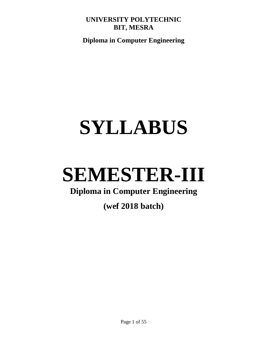**Diploma in Computer Engineering**

# **SYLLABUS**

# **SEMESTER-III**

# **Diploma in Computer Engineering**

# **(wef 2018 batch)**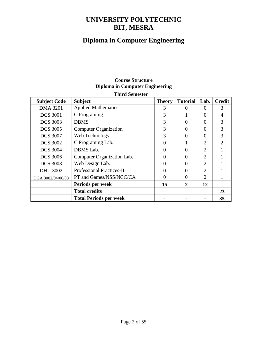# **Diploma in Computer Engineering**

# **Course Structure Diploma in Computer Engineering**

| <b>Subject Code</b> | <b>Subject</b>                   | <b>Theory</b> | <b>Tutorial</b> | Lab.                        | <b>Credit</b>  |
|---------------------|----------------------------------|---------------|-----------------|-----------------------------|----------------|
| <b>DMA 3201</b>     | <b>Applied Mathematics</b>       | 3             | $\theta$        | $\Omega$                    | 3              |
| <b>DCS 3001</b>     | C Programing                     | 3             |                 | $\Omega$                    | 4              |
| <b>DCS 3003</b>     | <b>DBMS</b>                      | 3             | $\Omega$        | $\Omega$                    | 3              |
| <b>DCS 3005</b>     | <b>Computer Organization</b>     | 3             | $\Omega$        | $\theta$                    | 3              |
| <b>DCS 3007</b>     | Web Technology                   | 3             | $\Omega$        | $\Omega$                    | 3              |
| <b>DCS 3002</b>     | C Programing Lab.                | $\Omega$      |                 | $\overline{2}$              | $\overline{2}$ |
| <b>DCS 3004</b>     | DBMS Lab.                        | $\Omega$      | $\theta$        | $\overline{2}$              |                |
| <b>DCS 3006</b>     | Computer Organization Lab.       | $\theta$      | $\Omega$        | $\overline{2}$              |                |
| <b>DCS 3008</b>     | Web Design Lab.                  | $\Omega$      | $\Omega$        | $\overline{2}$              |                |
| <b>DHU 3002</b>     | <b>Professional Practices-II</b> | $\Omega$      | $\Omega$        | $\mathcal{D}_{\mathcal{L}}$ |                |
| DGA 3002/04/06/08   | PT and Games/NSS/NCC/CA          | $\theta$      | $\Omega$        | $\overline{2}$              |                |
|                     | Periods per week                 | 15            | 2               | 12                          |                |
|                     | <b>Total credits</b>             |               |                 |                             | 23             |
|                     | <b>Total Periods per week</b>    |               |                 |                             | 35             |

#### **Third Semester**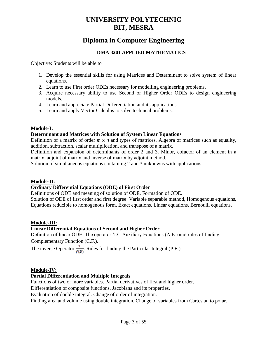# **Diploma in Computer Engineering**

# **DMA 3201 APPLIED MATHEMATICS**

Objective: Students will be able to

- 1. Develop the essential skills for using Matrices and Determinant to solve system of linear equations.
- 2. Learn to use First order ODEs necessary for modelling engineering problems.
- 3. Acquire necessary ability to use Second or Higher Order ODEs to design engineering models.
- 4. Learn and appreciate Partial Differentiation and its applications.
- 5. Learn and apply Vector Calculus to solve technical problems.

# **Module-I:**

# **Determinant and Matrices with Solution of System Linear Equations**

Definition of a matrix of order *m* x *n* and types of matrices. Algebra of matrices such as equality, addition, subtraction, scalar multiplication, and transpose of a matrix.

Definition and expansion of determinants of order 2 and 3. Minor, cofactor of an element in a matrix, adjoint of matrix and inverse of matrix by adjoint method.

Solution of simultaneous equations containing 2 and 3 unknowns with applications.

# **Module-II:**

# **Ordinary Differential Equations (ODE) of First Order**

Definitions of ODE and meaning of solution of ODE. Formation of ODE.

Solution of ODE of first order and first degree: Variable separable method, Homogenous equations, Equations reducible to homogenous form, Exact equations, Linear equations, Bernoulli equations.

# **Module-III:**

# **Linear Differential Equations of Second and Higher Order**

Definition of linear ODE. The operator 'D'. Auxiliary Equations (A.E.) and rules of finding Complementary Function (C.F.).

The inverse Operator  $\frac{1}{f(D)}$ . Rules for finding the Particular Integral (P.E.).

# **Module-IV:**

# **Partial Differentiation and Multiple Integrals**

Functions of two or more variables. Partial derivatives of first and higher order.

Differentiation of composite functions. Jacobians and its properties.

Evaluation of double integral. Change of order of integration.

Finding area and volume using double integration. Change of variables from Cartesian to polar.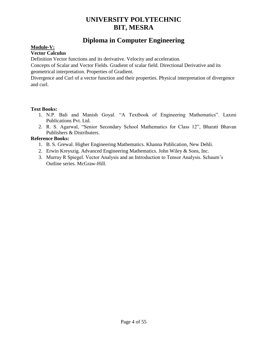# **Diploma in Computer Engineering**

# **Module-V:**

# **Vector Calculus**

Definition Vector functions and its derivative. Velocity and acceleration.

Concepts of Scalar and Vector Fields. Gradient of scalar field. Directional Derivative and its geometrical interpretation. Properties of Gradient.

Divergence and Curl of a vector function and their properties. Physical interpretation of divergence and curl.

# **Text Books:**

- 1. N.P. Bali and Manish Goyal. "A Textbook of Engineering Mathematics". Laxmi Publications Pvt. Ltd.
- 2. R. S. Agarwal, "Senior Secondary School Mathematics for Class 12", Bharati Bhavan Publishers & Distributers.

# **Reference Books:**

- 1. B. S. Grewal. Higher Engineering Mathematics. Khanna Publication, New Dehli.
- 2. Erwin Kreyszig. Advanced Engineering Mathematics. John Wiley & Sons, Inc.
- 3. Murray R Spiegel. Vector Analysis and an Introduction to Tensor Analysis. Schaum's Outline series. McGraw-Hill.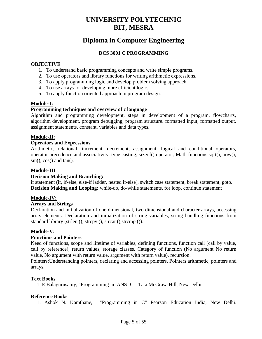# **Diploma in Computer Engineering**

# **DCS 3001 C PROGRAMMING**

### **OBJECTIVE**

- 1. To understand basic programming concepts and write simple programs.
- 2. To use operators and library functions for writing arithmetic expressions.
- 3. To apply programming logic and develop problem solving approach.
- 4. To use arrays for developing more efficient logic.
- 5. To apply function oriented approach in program design.

# **Module-I:**

# **Programming techniques and overview of c language**

Algorithm and programming development, steps in development of a program, flowcharts, algorithm development, program debugging, program structure. formatted input, formatted output, assignment statements, constant, variables and data types.

# **Module-II:**

# **Operators and Expressions**

Arithmetic, relational, increment, decrement, assignment, logical and conditional operators, operator precedence and associativity, type casting, sizeof() operator, Math functions sqrt(), pow(),  $sin($ ,  $cos($ ) and  $tan($ ).

# **Module-III**

#### **Decision Making and Branching:**

if statement (if, if-else, else-if ladder, nested if-else), switch case statement, break statement, goto. **Decision Making and Looping:** while-do, do-while statements, for loop, continue statement

# **Module-IV:**

# **Arrays and Strings**

Declaration and initialization of one dimensional, two dimensional and character arrays, accessing array elements. Declaration and initialization of string variables, string handling functions from standard library (strlen (), strcpy (), strcat (),strcmp ()).

# **Module-V:**

# **Functions and Pointers**

Need of functions, scope and lifetime of variables, defining functions, function call (call by value, call by reference), return values, storage classes. Category of function (No argument No return value, No argument with return value, argument with return value), recursion.

Pointers:Understanding pointers, declaring and accessing pointers, Pointers arithmetic, pointers and arrays.

# **Text Books**

1. E Balagurusamy, "Programming in ANSI C" Tata McGraw-Hill, New Delhi.

# **Reference Books**

1. Ashok N. Kamthane, "Programming in C" Pearson Education India, New Delhi.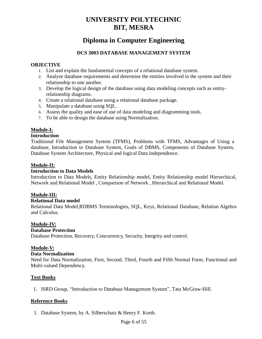# **Diploma in Computer Engineering**

# **DCS 3003 DATABASE MANAGEMENT SYSTEM**

# **OBJECTIVE**

- 1. List and explain the fundamental concepts of a relational database system.
- 2. Analyze database requirements and determine the entities involved in the system and their relationship to one another.
- 3. Develop the logical design of the database using data modeling concepts such as entityrelationship diagrams.
- 4. Create a relational database using a relational database package.
- 5. Manipulate a database using SQL.
- 6. Assess the quality and ease of use of data modeling and diagramming tools.
- 7. To be able to design the database using Normalization.

# **Module-I:**

# **Introduction**

Traditional File Management System (TFMS), Problems with TFMS, Advantages of Using a database, Introduction to Database System, Goals of DBMS, Components of Database System, Database System Architecture, Physical and logical Data independence.

# **Module-II:**

# **Introduction to Data Models**

Introduction to Data Models, Entity Relationship model, Entity Relationship model Hierarchical, Network and Relational Model , Comparison of Network , Hierarchical and Relational Model.

# **Module-III:**

# **Relational Data model**

Relational Data Model,RDBMS Terminologies, SQL, Keys, Relational Database, Relation Algebra and Calculus.

# **Module-IV:**

# **Database Protection**

Database Protection, Recovery, Concurrency, Security, Integrity and control.

# **Module-V:**

# **Data Normalization**

Need for Data Normalization, First, Second, Third, Fourth and Fifth Normal Form, Functional and Multi-valued Dependency.

# **Text Books**

1. ISRD Group, "Introduction to Database Management System", Tata McGraw-Hill.

# **Reference Books**

1. Database System, by A. Silberschatz & Henry F. Korth*.*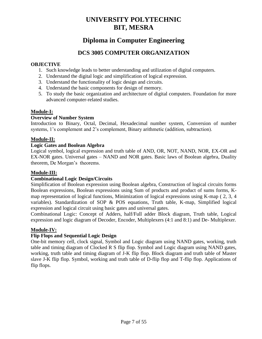# **Diploma in Computer Engineering**

# **DCS 3005 COMPUTER ORGANIZATION**

### **OBJECTIVE**

- 1. Such knowledge leads to better understanding and utilization of digital computers.
- 2. Understand the digital logic and simplification of logical expression.
- 3. Understand the functionality of logic design and circuits.
- 4. Understand the basic components for design of memory.
- 5. To study the basic organization and architecture of digital computers. Foundation for more advanced computer-related studies.

# **Module-I:**

# **Overview of Number System**

Introduction to Binary, Octal, Decimal, Hexadecimal number system, Conversion of number systems, 1's complement and 2's complement, Binary arithmetic (addition, subtraction).

# **Module-II:**

#### **Logic Gates and Boolean Algebra**

Logical symbol, logical expression and truth table of AND, OR, NOT, NAND, NOR, EX-OR and EX-NOR gates. Universal gates – NAND and NOR gates. Basic laws of Boolean algebra, Duality theorem, De Morgan's theorems.

# **Module-III:**

# **Combinational Logic Design/Circuits**

Simplification of Boolean expression using Boolean algebra, Construction of logical circuits forms Boolean expressions, Boolean expressions using Sum of products and product of sums forms, Kmap representation of logical functions, Minimization of logical expressions using K-map ( 2, 3, 4 variables). Standardization of SOP & POS equations, Truth table, K-map, Simplified logical expression and logical circuit using basic gates and universal gates.

Combinational Logic: Concept of Adders, half/Full adder Block diagram, Truth table, Logical expression and logic diagram of Decoder, Encoder, Multiplexers (4:1 and 8:1) and De- Multiplexer.

# **Module-IV:**

# **Flip Flops and Sequential Logic Design**

One-bit memory cell, clock signal, Symbol and Logic diagram using NAND gates, working, truth table and timing diagram of Clocked R S flip flop. Symbol and Logic diagram using NAND gates, working, truth table and timing diagram of J-K flip flop. Block diagram and truth table of Master slave J-K flip flop. Symbol, working and truth table of D-flip flop and T-flip flop. Applications of flip flops.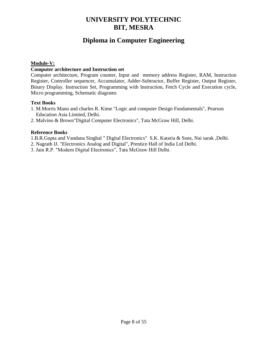# **Diploma in Computer Engineering**

# **Module-V:**

#### **Computer architecture and Instruction set**

Computer architecture, Program counter, Input and memory address Register, RAM, Instruction Register, Controller sequencer, Accumulator, Adder-Subtractor, Buffer Register, Output Register, Binary Display. Instruction Set, Programming with Instruction, Fetch Cycle and Execution cycle, Micro programming, Schematic diagrams

#### **Text Books**

- 1. M.Morris Mano and charles R. Kime "Logic and computer Design Fundamentals", Pearson Education Asia Limited, Delhi.
- 2. Malvino & Brown"Digital Computer Electronics", Tata McGraw Hill, Delhi.

#### **Reference Books**

1.B.R.Gupta and Vandana Singhal " Digital Electronics" S.K. Kataria & Sons, Nai sarak ,Delhi.

- 2. Nagrath IJ. "Electronics Analog and Digital", Prentice Hall of India Ltd Delhi.
- 3. Jain R.P. "Modern Digital Electronics", Tata McGraw Hill Delhi.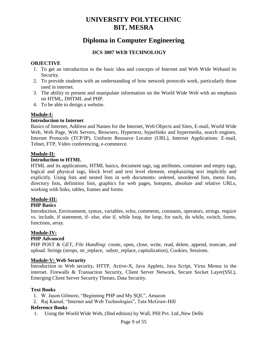# **Diploma in Computer Engineering**

# **DCS 3007 WEB TECHNOLOGY**

#### **OBJECTIVE**

- 1. To get an introduction to the basic idea and concepts of Internet and Web Wide Weband its Security.
- 2. To provide students with an understanding of how network protocols work, particularly those used in internet.
- 3. The ability to present and manipulate information on the World Wide Web with an emphasis on HTML, DHTML and PHP.
- 4. To be able to design a website.

# **Module-I:**

#### **Introduction to Internet**

Basics of Internet, Address and Names for the Internet, Web Objects and Sites, E-mail, World Wide Web, Web Page, Web Servers, Browsers, Hypertext, hyperlinks and hypermedia, search engines, Internet Protocols (TCP/IP), Uniform Resource Locator (URL), Internet Applications: E-mail, Telnet, FTP, Video conferencing, e-commerce.

#### **Module-II:**

#### **Introduction to HTML**

HTML and its applications, HTML basics, document tags, tag attributes, container and empty tags, logical and physical tags, block level and text level element, emphasizing text implicitly and explicitly. Using lists and nested lists in web documents: ordered, unordered lists, menu lists, directory lists, definition lists, graphics for web pages, hotspots, absolute and relative URLs, working with links, tables, frames and forms.

# **Module-III:**

# **PHP Basics**

Introduction, Environment, syntax, variables, echo, comments, constants, operators, strings, require vs. include, if statement, if- else, else if, while loop, for loop, for each, do while, switch, forms, functions, array.

# **Module-IV:**

#### **PHP Advanced**

PHP POST & GET, *File Handling*: create, open, close, write, read, delete, append, truncate, and upload. Strings (strops, str\_replace, substr\_replace, capitalization), Cookies, Sessions.

#### **Module-V: Web Security**

Introduction to Web security, HTTP, Active-X, Java Applets, Java Script, Virus Menus in the internet. Firewalls & Transaction Security, Client Server Network, Secure Socket Layer(SSL), Emerging Client Server Security Threats, Data Security.

#### **Text Books**

- 1. W. Jason Gilmore, "Beginning PHP and My SQL", Amazon
- 2. Raj Kamal, "Internet and Web Technologies", Tata McGraw-Hill

#### **Reference Books**

1. Using the World Wide Web, (IInd edition) by Wall, PHI Pvt. Ltd.,New Delhi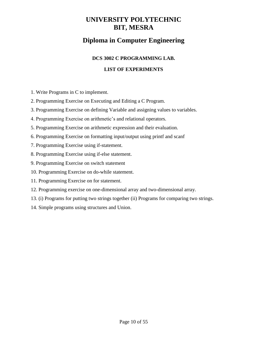# **Diploma in Computer Engineering**

# **DCS 3002 C PROGRAMMING LAB.**

# **LIST OF EXPERIMENTS**

- 1. Write Programs in C to implement.
- 2. Programming Exercise on Executing and Editing a C Program.
- 3. Programming Exercise on defining Variable and assigning values to variables.
- 4. Programming Exercise on arithmetic's and relational operators.
- 5. Programming Exercise on arithmetic expression and their evaluation.
- 6. Programming Exercise on formatting input/output using printf and scanf
- 7. Programming Exercise using if-statement.
- 8. Programming Exercise using if-else statement.
- 9. Programming Exercise on switch statement
- 10. Programming Exercise on do-while statement.
- 11. Programming Exercise on for statement.
- 12. Programming exercise on one-dimensional array and two-dimensional array.
- 13. (i) Programs for putting two strings together (ii) Programs for comparing two strings.
- 14. Simple programs using structures and Union.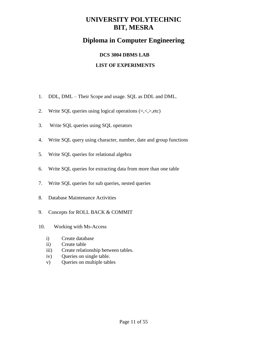# **Diploma in Computer Engineering**

# **DCS 3004 DBMS LAB LIST OF EXPERIMENTS**

- 1. DDL, DML Their Scope and usage. SQL as DDL and DML.
- 2. Write SQL queries using logical operations  $(=,<,>,etc)$
- 3. Write SQL queries using SQL operators
- 4. Write SQL query using character, number, date and group functions
- 5. Write SQL queries for relational algebra
- 6. Write SQL queries for extracting data from more than one table
- 7. Write SQL queries for sub queries, nested queries
- 8. Database Maintenance Activities
- 9. Concepts for ROLL BACK & COMMIT
- 10. Working with Ms-Access
	- i) Create database
	- ii) Create table
	- iii) Create relationship between tables.
	- iv) Queries on single table.
	- v) Queries on multiple tables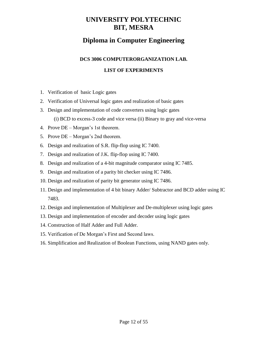# **Diploma in Computer Engineering**

**DCS 3006 COMPUTERORGANIZATION LAB.**

# **LIST OF EXPERIMENTS**

- 1. Verification of basic Logic gates
- 2. Verification of Universal logic gates and realization of basic gates
- 3. Design and implementation of code converters using logic gates
	- (i) BCD to excess-3 code and vice versa (ii) Binary to gray and vice-versa
- 4. Prove DE Morgan's 1st theorem.
- 5. Prove DE Morgan's 2nd theorem.
- 6. Design and realization of S.R. flip-flop using IC 7400.
- 7. Design and realization of J.K. flip-flop using IC 7400.
- 8. Design and realization of a 4-bit magnitude comparator using IC 7485.
- 9. Design and realization of a parity bit checker using IC 7486.
- 10. Design and realization of parity bit generator using IC 7486.
- 11. Design and implementation of 4 bit binary Adder/ Subtractor and BCD adder using IC 7483.
- 12. Design and implementation of Multiplexer and De-multiplexer using logic gates
- 13. Design and implementation of encoder and decoder using logic gates
- 14. Construction of Half Adder and Full Adder.
- 15. Verification of De Morgan's First and Second laws.
- 16. Simplification and Realization of Boolean Functions, using NAND gates only.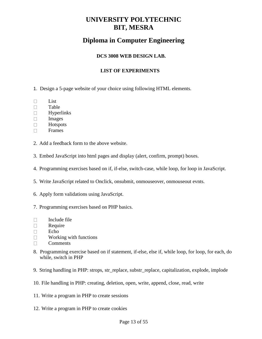# **Diploma in Computer Engineering**

# **DCS 3008 WEB DESIGN LAB.**

# **LIST OF EXPERIMENTS**

1. Design a 5-page website of your choice using following HTML elements.

- $\Box$ List
- $\Box$ Table
- $\Box$ Hyperlinks
- Images  $\Box$
- $\Box$ Hotspots
- $\Box$ Frames
- 2. Add a feedback form to the above website.
- 3. Embed JavaScript into html pages and display (alert, confirm, prompt) boxes.
- 4. Programming exercises based on if, if-else, switch-case, while loop, for loop in JavaScript.
- 5. Write JavaScript related to Onclick, onsubmit, onmouseover, onmouseout evnts.
- 6. Apply form validations using JavaScript.
- 7. Programming exercises based on PHP basics.
- $\Box$ Include file
- $\Box$ Require
- Echo  $\Box$
- $\Box$ Working with functions
- **Comments**  $\Box$
- 8. Programming exercise based on if statement, if-else, else if, while loop, for loop, for each, do while, switch in PHP
- 9. String handling in PHP: strops, str\_replace, substr\_replace, capitalization, explode, implode
- 10. File handling in PHP: creating, deletion, open, write, append, close, read, write
- 11. Write a program in PHP to create sessions
- 12. Write a program in PHP to create cookies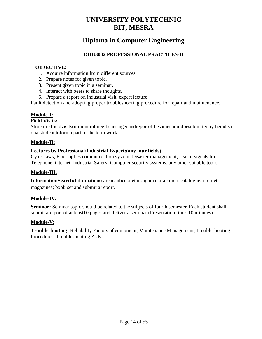# **Diploma in Computer Engineering**

# **DHU3002 PROFESSIONAL PRACTICES-II**

# **OBJECTIVE**:

- 1. Acquire information from different sources.
- 2. Prepare notes for given topic.
- 3. Present given topic in a seminar.
- 4. Interact with peers to share thoughts.
- 5. Prepare a report on industrial visit, expert lecture

Fault detection and adopting proper troubleshooting procedure for repair and maintenance.

# **Module-I:**

# **Field Visits:**

Structuredfieldvisits(minimumthree)bearrangedandreportofthesameshouldbesubmittedbytheindivi dualstudent,toforma part of the term work.

# **Module-II:**

# **Lectures by Professional/Industrial Expert:(any four fields)**

Cyber laws, Fiber optics communication system, Disaster management, Use of signals for Telephone, internet, Industrial Safety, Computer security systems, any other suitable topic.

# **Module-III:**

**InformationSearch:**Informationsearchcanbedonethroughmanufacturers,catalogue,internet, magazines; book set and submit a report.

# **Module-IV:**

**Seminar:** Seminar topic should be related to the subjects of fourth semester. Each student shall submit are port of at least10 pages and deliver a seminar (Presentation time–10 minutes)

# **Module-V:**

**Troubleshooting:** Reliability Factors of equipment, Maintenance Management, Troubleshooting Procedures, Troubleshooting Aids.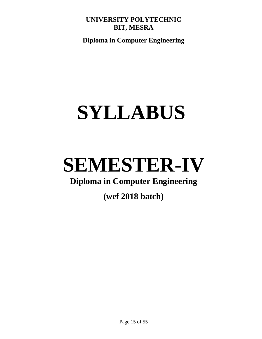**Diploma in Computer Engineering**

# **SYLLABUS**

# **SEMESTER-IV**

# **Diploma in Computer Engineering**

**(wef 2018 batch)**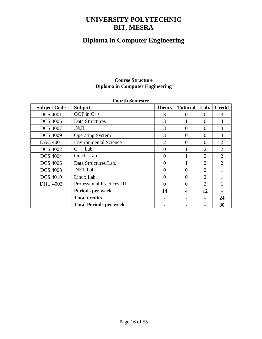# **Diploma in Computer Engineering**

# **Course Structure Diploma in Computer Engineering**

| <b>Subject Code</b> | <b>Subject</b>                    | <b>Theory</b>  | <b>Tutorial</b> | Lab.           | <b>Credit</b>  |
|---------------------|-----------------------------------|----------------|-----------------|----------------|----------------|
| <b>DCS 4001</b>     | OOP in $C++$                      | 3              | $\Omega$        | $\theta$       | 3              |
| <b>DCS 4005</b>     | Data Structures                   | 3              |                 | $\overline{0}$ | 4              |
| <b>DCS 4007</b>     | NET.                              | 3              | $\Omega$        | $\Omega$       | 3              |
| <b>DCS 4009</b>     | <b>Operating System</b>           | 3              | $\Omega$        | $\theta$       | 3              |
| <b>DAC 4001</b>     | <b>Environmental Science</b>      | $\overline{2}$ | $\Omega$        | $\theta$       | $\overline{2}$ |
| <b>DCS 4002</b>     | $C++$ Lab.                        | $\theta$       |                 | $\overline{2}$ | $\overline{2}$ |
| <b>DCS 4004</b>     | Oracle Lab.                       | $\Omega$       |                 | $\overline{2}$ | $\overline{2}$ |
| <b>DCS 4006</b>     | Data Structures Lab.              | $\theta$       |                 | $\overline{2}$ | $\overline{2}$ |
| <b>DCS 4008</b>     | NET Lab.                          | $\Omega$       | $\Omega$        | $\overline{2}$ |                |
| <b>DCS 4010</b>     | Linux Lab.                        | $\theta$       | $\theta$        | $\overline{2}$ |                |
| <b>DHU 4002</b>     | <b>Professional Practices-III</b> | $\Omega$       | $\Omega$        | $\overline{2}$ |                |
|                     | Periods per week                  | 14             | 4               | 12             |                |
|                     | <b>Total credits</b>              |                |                 |                | 24             |
|                     | <b>Total Periods per week</b>     |                |                 |                | 30             |

### **Fourth Semester**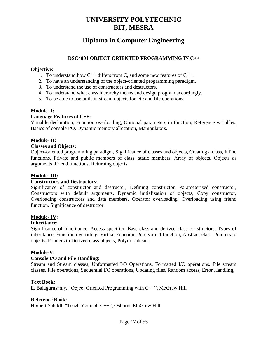# **Diploma in Computer Engineering**

# **DSC4001 OBJECT ORIENTED PROGRAMMING IN C++**

### **Objective:**

- 1. To understand how  $C_{++}$  differs from C, and some new features of  $C_{++}$ .
- 2. To have an understanding of the object-oriented programming paradigm.
- 3. To understand the use of constructors and destructors.
- 4. To understand what class hierarchy means and design program accordingly.
- 5. To be able to use built-in stream objects for I/O and file operations.

# **Module- I:**

#### **Language Features of C++:**

Variable declaration, Function overloading, Optional parameters in function, Reference variables, Basics of console I/O, Dynamic memory allocation, Manipulators.

#### **Module- II:**

#### **Classes and Objects:**

Object-oriented programming paradigm, Significance of classes and objects, Creating a class, Inline functions, Private and public members of class, static members, Array of objects, Objects as arguments, Friend functions, Returning objects.

#### **Module- III:**

#### **Constructors and Destructors:**

Significance of constructor and destructor, Defining constructor, Parameterized constructor, Constructors with default arguments, Dynamic initialization of objects, Copy constructor, Overloading constructors and data members, Operator overloading, Overloading using friend function. Significance of destructor.

#### **Module- IV:**

#### **Inheritance:**

Significance of inheritance, Access specifier, Base class and derived class constructors, Types of inheritance, Function overriding, Virtual Function, Pure virtual function, Abstract class, Pointers to objects, Pointers to Derived class objects, Polymorphism.

#### **Module-V:**

#### **Console I/O and File Handling:**

Stream and Stream classes, Unformatted I/O Operations, Formatted I/O operations, File stream classes, File operations, Sequential I/O operations, Updating files, Random access, Error Handling,

#### **Text Book:**

E. Balagurusamy, "Object Oriented Programming with C++", McGraw Hill

#### **Reference Book:**

Herbert Schildt, "Teach Yourself C++", Osborne McGraw Hill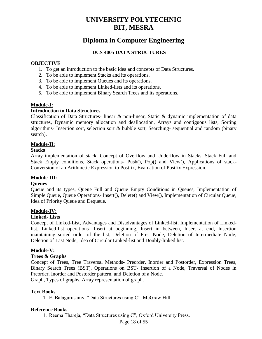# **Diploma in Computer Engineering**

# **DCS 4005 DATA STRUCTURES**

### **OBJECTIVE**

- 1. To get an introduction to the basic idea and concepts of Data Structures.
- 2. To be able to implement Stacks and its operations.
- 3. To be able to implement Queues and its operations.
- 4. To be able to implement Linked-lists and its operations.
- 5. To be able to implement Binary Search Trees and its operations.

# **Module-I:**

#### **Introduction to Data Structures**

Classification of Data Structures- linear & non-linear, Static & dynamic implementation of data structures, Dynamic memory allocation and deallocation, Arrays and contiguous lists, Sorting algorithms- Insertion sort, selection sort & bubble sort, Searching- sequential and random (binary search).

#### **Module-II:**

#### **Stacks**

Array implementation of stack, Concept of Overflow and Underflow in Stacks, Stack Full and Stack Empty conditions, Stack operations- Push(), Pop() and View(), Applications of stack-Conversion of an Arithmetic Expression to Postfix, Evaluation of Postfix Expression.

# **Module-III:**

#### **Queues**

Queue and its types, Queue Full and Queue Empty Conditions in Queues, Implementation of Simple Queue, Queue Operations- Insert(), Delete() and View(), Implementation of Circular Queue, Idea of Priority Queue and Dequeue.

#### **Module-IV:**

#### **Linked- Lists**

Concept of Linked-List, Advantages and Disadvantages of Linked-list, Implementation of Linkedlist, Linked-list operations- Insert at beginning, Insert in between, Insert at end, Insertion maintaining sorted order of the list, Deletion of First Node, Deletion of Intermediate Node, Deletion of Last Node, Idea of Circular Linked-list and Doubly-linked list.

#### **Module-V:**

#### **Trees & Graphs**

Concept of Trees, Tree Traversal Methods- Preorder, Inorder and Postorder, Expression Trees, Binary Search Trees (BST), Operations on BST- Insertion of a Node, Traversal of Nodes in Preorder, Inorder and Postorder pattern, and Deletion of a Node. Graph, Types of graphs, Array representation of graph.

#### **Text Books**

1. E. Balagurusamy, "Data Structures using C", McGraw Hill.

#### **Reference Books**

1. Reema Thareja, "Data Structures using C", Oxford University Press.

Page 18 of 55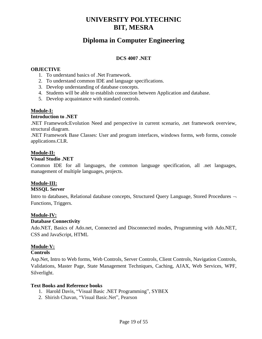# **Diploma in Computer Engineering**

# **DCS 4007 .NET**

### **OBJECTIVE**

- 1. To understand basics of .Net Framework.
- 2. To understand common IDE and language specifications.
- 3. Develop understanding of database concepts.
- 4. Students will be able to establish connection between Application and database.
- 5. Develop acquaintance with standard controls.

# **Module-I:**

#### **Introduction to .NET**

.NET Framework:Evolution Need and perspective in current scenario, .net framework overview, structural diagram.

.NET Framework Base Classes: User and program interfaces, windows forms, web forms, console applications.CLR.

#### **Module-II:**

#### **Visual Studio .NET**

Common IDE for all languages, the common language specification, all .net languages, management of multiple languages, projects.

# **Module-III:**

# **MSSQL Server**

Intro to databases, Relational database concepts, Structured Query Language, Stored Procedures  $\neg$ Functions, Triggers.

# **Module-IV:**

#### **Database Connectivity**

Ado.NET, Basics of Ado.net, Connected and Disconnected modes, Programming with Ado.NET, CSS and JavaScript, HTML

# **Module-V:**

#### **Controls**

Asp.Net, Intro to Web forms, Web Controls, Server Controls, Client Controls, Navigation Controls, Validations, Master Page, State Management Techniques, Caching, AJAX, Web Services, WPF, Silverlight.

#### **Text Books and Reference books**

- 1. Harold Davis, "Visual Basic .NET Programming", SYBEX
- 2.Shirish Chavan, "Visual Basic.Net", Pearson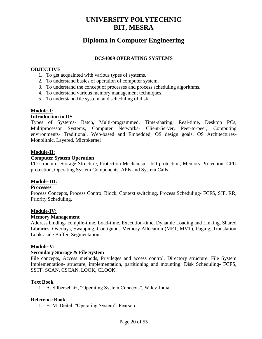# **Diploma in Computer Engineering**

# **DCS4009 OPERATING SYSTEMS**

#### **OBJECTIVE**

- 1. To get acquainted with various types of systems.
- 2. To understand basics of operation of computer system.
- 3. To understand the concept of processes and process scheduling algorithms.
- 4. To understand various memory management techniques.
- 5. To understand file system, and scheduling of disk.

#### **Module-I:**

#### **Introduction to OS**

Types of Systems- Batch, Multi-programmed, Time-sharing, Real-time, Desktop PCs, Multiprocessor Systems, Computer Networks- Client-Server, Peer-to-peer, Computing environments- Traditional, Web-based and Embedded, OS design goals, OS Architectures-Monolithic, Layered, Microkernel

#### **Module-II:**

#### **Computer System Operation**

I/O structure, Storage Structure, Protection Mechanism- I/O protection, Memory Protection, CPU protection, Operating System Components, APIs and System Calls.

# **Module-III:**

#### **Processes**

Process Concepts, Process Control Block, Context switching, Process Scheduling- FCFS, SJF, RR, Priority Scheduling.

#### **Module-IV:**

#### **Memory Management**

Address binding- compile-time, Load-time, Execution-time, Dynamic Loading and Linking, Shared Libraries, Overlays, Swapping, Contiguous Memory Allocation (MFT, MVT), Paging, Translation Look-aside Buffer, Segmentation.

#### **Module-V:**

#### **Secondary Storage & File System**

File concepts, Access methods, Privileges and access control, Directory structure. File System Implementation- structure, implementation, partitioning and mounting. Disk Scheduling- FCFS, SSTF, SCAN, CSCAN, LOOK, CLOOK.

#### **Text Book**

1. A. Silberschatz, "Operating System Concepts", Wiley-India

#### **Reference Book**

1. H. M. Deitel, "Operating System", Pearson.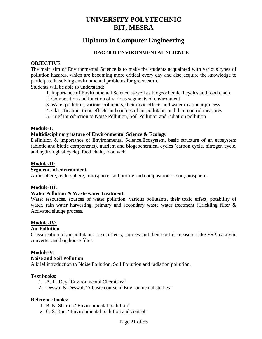# **Diploma in Computer Engineering**

# **DAC 4001 ENVIRONMENTAL SCIENCE**

# **OBJECTIVE**

The main aim of Environmental Science is to make the students acquainted with various types of pollution hazards, which are becoming more critical every day and also acquire the knowledge to participate in solving environmental problems for green earth.

Students will be able to understand:

- 1. Importance of Environmental Science as well as biogeochemical cycles and food chain
- 2. Composition and function of various segments of environment
- 3. Water pollution, various pollutants, their toxic effects and water treatment process
- 4. Classification, toxic effects and sources of air pollutants and their control measures
- 5. Brief introduction to Noise Pollution, Soil Pollution and radiation pollution

#### **Module-I:**

#### **Multidisciplinary nature of Environmental Science & Ecology**

Definition & importance of Environmental Science.Ecosystem, basic structure of an ecosystem (abiotic and biotic components), nutrient and biogeochemical cycles (carbon cycle, nitrogen cycle, and hydrological cycle), food chain, food web.

#### **Module-II:**

#### **Segments of environment**

Atmosphere, hydrosphere, lithosphere, soil profile and composition of soil, biosphere.

#### **Module-III:**

#### **Water Pollution & Waste water treatment**

Water resources, sources of water pollution, various pollutants, their toxic effect, potability of water, rain water harvesting, primary and secondary waste water treatment (Trickling filter & Activated sludge process.

#### **Module-IV:**

#### **Air Pollution**

Classification of air pollutants, toxic effects, sources and their control measures like ESP, catalytic converter and bag house filter.

#### **Module-V:**

#### **Noise and Soil Pollution**

A brief introduction to Noise Pollution, Soil Pollution and radiation pollution.

#### **Text books:**

- 1. A. K. Dey,"Environmental Chemistry"
- 2. Deswal & Deswal,"A basic course in Environmental studies"

#### **Reference books:**

- 1. B. K. Sharma,"Environmental pollution"
- 2. C. S. Rao, "Environmental pollution and control"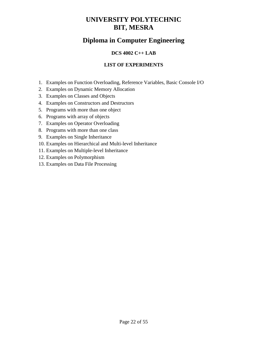# **Diploma in Computer Engineering**

# **DCS 4002 C++ LAB**

# **LIST OF EXPERIMENTS**

- 1. Examples on Function Overloading, Reference Variables, Basic Console I/O
- 2. Examples on Dynamic Memory Allocation
- 3. Examples on Classes and Objects
- 4. Examples on Constructors and Destructors
- 5. Programs with more than one object
- 6. Programs with array of objects
- 7. Examples on Operator Overloading
- 8. Programs with more than one class
- 9. Examples on Single Inheritance
- 10. Examples on Hierarchical and Multi-level Inheritance
- 11. Examples on Multiple-level Inheritance
- 12. Examples on Polymorphism
- 13. Examples on Data File Processing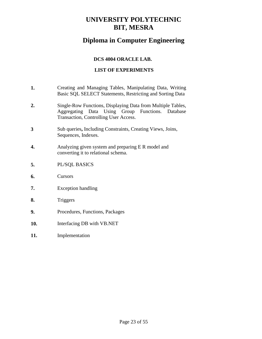# **Diploma in Computer Engineering**

# **DCS 4004 ORACLE LAB.**

# **LIST OF EXPERIMENTS**

- **1.** Creating and Managing Tables, Manipulating Data, Writing Basic SQL SELECT Statements, Restricting and Sorting Data
- **2.** Single-Row Functions, Displaying Data from Multiple Tables, Aggregating Data Using Group Functions. Database Transaction, Controlling User Access.
- **3** Sub queries**,** Including Constraints, Creating Views, Joins, Sequences, Indexes.
- **4.** Analyzing given system and preparing E R model and converting it to relational schema.
- **5.** PL/SQL BASICS
- **6.** Cursors
- **7.** Exception handling
- **8.** Triggers
- **9.** Procedures, Functions, Packages
- **10.** Interfacing DB with VB.NET
- **11.** Implementation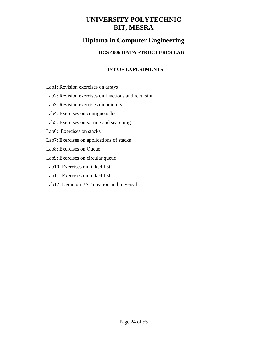# **Diploma in Computer Engineering**

# **DCS 4006 DATA STRUCTURES LAB**

# **LIST OF EXPERIMENTS**

Lab1: Revision exercises on arrays

Lab2: Revision exercises on functions and recursion

Lab3: Revision exercises on pointers

Lab4: Exercises on contiguous list

Lab5: Exercises on sorting and searching

Lab6: Exercises on stacks

Lab7: Exercises on applications of stacks

Lab8: Exercises on Queue

Lab9: Exercises on circular queue

Lab10: Exercises on linked-list

Lab11: Exercises on linked-list

Lab12: Demo on BST creation and traversal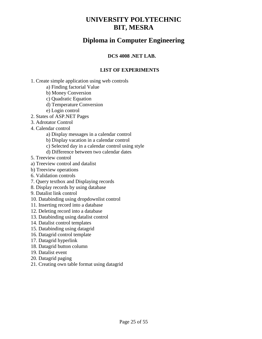# **Diploma in Computer Engineering**

# **DCS 4008 .NET LAB.**

# **LIST OF EXPERIMENTS**

- 1. Create simple application using web controls
	- a) Finding factorial Value
	- b) Money Conversion
	- c) Quadratic Equation
	- d) Temperature Conversion
	- e) Login control
- 2. States of ASP.NET Pages
- 3. Adrotator Control
- 4. Calendar control
	- a) Display messages in a calendar control
	- b) Display vacation in a calendar control
	- c) Selected day in a calendar control using style
	- d) Difference between two calendar dates
- 5. Treeview control
- a) Treeview control and datalist
- b) Treeview operations
- 6. Validation controls
- 7. Query textbox and Displaying records
- 8. Display records by using database
- 9. Datalist link control
- 10. Databinding using dropdownlist control
- 11. Inserting record into a database
- 12. Deleting record into a database
- 13. Databinding using datalist control
- 14. Datalist control templates
- 15. Databinding using datagrid
- 16. Datagrid control template
- 17. Datagrid hyperlink
- 18. Datagrid button column
- 19. Datalist event
- 20. Datagrid paging
- 21. Creating own table format using datagrid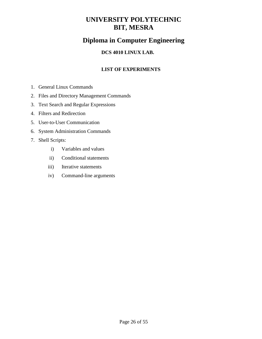# **Diploma in Computer Engineering**

# **DCS 4010 LINUX LAB.**

# **LIST OF EXPERIMENTS**

- 1. General Linux Commands
- 2. Files and Directory Management Commands
- 3. Text Search and Regular Expressions
- 4. Filters and Redirection
- 5. User-to-User Communication
- 6. System Administration Commands
- 7. Shell Scripts:
	- i) Variables and values
	- ii) Conditional statements
	- iii) Iterative statements
	- iv) Command-line arguments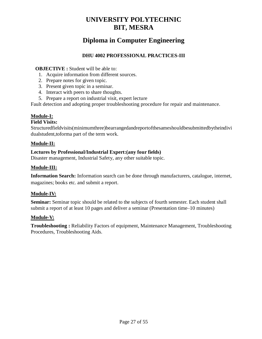# **Diploma in Computer Engineering**

# **DHU 4002 PROFESSIONAL PRACTICES-III**

# **OBJECTIVE :** Student will be able to:

- 1. Acquire information from different sources.
- 2. Prepare notes for given topic.
- 3. Present given topic in a seminar.
- 4. Interact with peers to share thoughts.
- 5. Prepare a report on industrial visit, expert lecture

Fault detection and adopting proper troubleshooting procedure for repair and maintenance.

# **Module-I:**

# **Field Visits:**

Structuredfieldvisits(minimumthree)bearrangedandreportofthesameshouldbesubmittedbytheindivi dualstudent,toforma part of the term work.

# **Module-II:**

# **Lectures by Professional/Industrial Expert:(any four fields)**

Disaster management, Industrial Safety, any other suitable topic.

# **Module-III:**

**Information Search:** Information search can be done through manufacturers, catalogue, internet, magazines; books etc. and submit a report.

# **Module-IV:**

**Seminar:** Seminar topic should be related to the subjects of fourth semester. Each student shall submit a report of at least 10 pages and deliver a seminar (Presentation time–10 minutes)

# **Module-V:**

**Troubleshooting :** Reliability Factors of equipment, Maintenance Management, Troubleshooting Procedures, Troubleshooting Aids.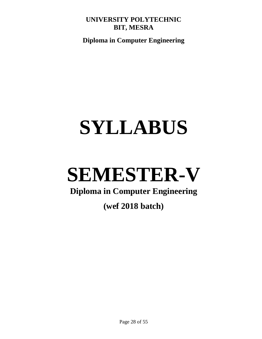**Diploma in Computer Engineering**

# **SYLLABUS**

# **SEMESTER-V**

# **Diploma in Computer Engineering**

# **(wef 2018 batch)**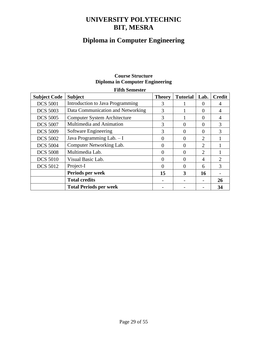# **Diploma in Computer Engineering**

# **Course Structure Diploma in Computer Engineering**

| <b>Subject Code</b> | <b>Subject</b>                      | <b>Theory</b> | <b>Tutorial</b>   | Lab.                        | <b>Credit</b> |
|---------------------|-------------------------------------|---------------|-------------------|-----------------------------|---------------|
| <b>DCS 5001</b>     | Introduction to Java Programming    | 3             |                   |                             |               |
| <b>DCS 5003</b>     | Data Communication and Networking   | 3             |                   | $\Omega$                    | 4             |
| <b>DCS 5005</b>     | <b>Computer System Architecture</b> | 3             |                   | $\Omega$                    | 4             |
| <b>DCS 5007</b>     | Multimedia and Animation            | 3             | $\mathbf{\Omega}$ | $\Omega$                    | 3             |
| <b>DCS 5009</b>     | Software Engineering                | 3             | 0                 | $\Omega$                    | 3             |
| <b>DCS 5002</b>     | Java Programming Lab. - I           | 0             | 0                 | 2                           |               |
| <b>DCS 5004</b>     | Computer Networking Lab.            | $\Omega$      | $\Omega$          | 2                           |               |
| <b>DCS 5008</b>     | Multimedia Lab.                     | $\Omega$      | $\Omega$          | $\mathcal{D}_{\mathcal{L}}$ |               |
| <b>DCS 5010</b>     | Visual Basic Lab.                   | 0             | 0                 | $\overline{4}$              | 2             |
| <b>DCS 5012</b>     | Project-I                           | $\Omega$      | $\Omega$          | 6                           | 3             |
|                     | Periods per week                    | 15            | 3                 | 16                          |               |
|                     | <b>Total credits</b>                |               |                   |                             | 26            |
|                     | <b>Total Periods per week</b>       |               |                   |                             | 34            |

#### **Fifth Semester**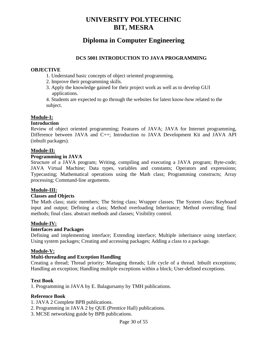# **Diploma in Computer Engineering**

# **DCS 5001 INTRODUCTION TO JAVA PROGRAMMING**

### **OBJECTIVE**

- 1. Understand basic concepts of object oriented programming.
- 2. Improve their programming skills.
- 3. Apply the knowledge gained for their project work as well as to develop GUI applications.

4. Students are expected to go through the websites for latest know-how related to the subject.

# **Module-I:**

# **Introduction**

Review of object oriented programming; Features of JAVA; JAVA for Internet programming, Difference between JAVA and C++; Introduction to JAVA Development Kit and JAVA API (inbuilt packages).

#### **Module-II:**

# **Programming in JAVA**

Structure of a JAVA program; Writing, compiling and executing a JAVA program; Byte-code; JAVA Virtual Machine; Data types, variables and constants; Operators and expressions; Typecasting; Mathematical operations using the Math class; Programming constructs; Array processing; Command-line arguments.

#### **Module-III:**

# **Classes and Objects**

The Math class; static members; The String class; Wrapper classes; The System class; Keyboard input and output; Defining a class; Method overloading Inheritance; Method overriding; final methods; final class. abstract methods and classes; Visibility control.

# **Module-IV:**

#### **Interfaces and Packages**

Defining and implementing interface; Extending interface; Multiple inheritance using interface; Using system packages; Creating and accessing packages; Adding a class to a package.

# **Module-V:**

# **Multi-threading and Exception Handling**

Creating a thread; Thread priority; Managing threads; Life cycle of a thread. Inbuilt exceptions; Handling an exception; Handling multiple exceptions within a block; User-defined exceptions.

# **Text Book**

1. Programming in JAVA by E. Balagursamy by TMH publications.

#### **Reference Book**

- 1. JAVA 2 Complete BPB publications.
- 2. Programming in JAVA 2 by QUE (Prentice Hall) publications.
- 3. MCSE networking guide by BPB publications.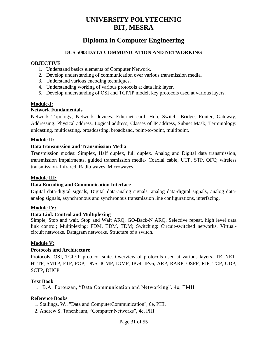# **Diploma in Computer Engineering**

# **DCS 5003 DATA COMMUNICATION AND NETWORKING**

# **OBJECTIVE**

- 1. Understand basics elements of Computer Network.
- 2. Develop understanding of communication over various transmission media.
- 3. Understand various encoding techniques.
- 4. Understanding working of various protocols at data link layer.
- 5. Develop understanding of OSI and TCP/IP model, key protocols used at various layers.

# **Module-I:**

# **Network Fundamentals**

Network Topology; Network devices: Ethernet card, Hub, Switch, Bridge, Router, Gateway; Addressing: Physical address, Logical address, Classes of IP address, Subnet Mask; Terminology: unicasting, multicasting, broadcasting, broadband, point-to-point, multipoint.

# **Module II:**

# **Data transmission and Transmission Media**

Transmission modes: Simplex, Half duplex, full duplex. Analog and Digital data transmission, transmission impairments, guided transmission media- Coaxial cable, UTP, STP, OFC; wireless transmission- Infrared, Radio waves, Microwaves.

# **Module III:**

# **Data Encoding and Communication Interface**

Digital data-digital signals, Digital data-analog signals, analog data-digital signals, analog dataanalog signals, asynchronous and synchronous transmission line configurations, interfacing.

# **Module IV:**

# **Data Link Control and Multiplexing**

Simple, Stop and wait, Stop and Wait ARQ, GO-Back-N ARQ, Selective repeat, high level data link control; Multiplexing: FDM, TDM, TDM; Switching: Circuit-switched networks, Virtualcircuit networks, Datagram networks, Structure of a switch.

# **Module V:**

# **Protocols and Architecture**

Protocols, OSI, TCP/IP protocol suite. Overview of protocols used at various layers- TELNET, HTTP, SMTP, FTP, POP, DNS, ICMP, IGMP, IPv4, IPv6, ARP, RARP, OSPF, RIP, TCP, UDP, SCTP, DHCP.

# **Text Book**

1. B.A. Forouzan, "Data Communication and Networking". 4e, TMH

# **Reference Books**

1. Stallings. W., "Data and ComputerCommunication", 6e, PHI.

2. Andrew S. Tanenbaum, "Computer Networks", 4e, PHI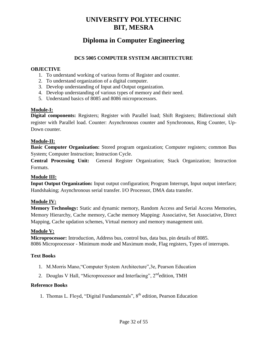# **Diploma in Computer Engineering**

# **DCS 5005 COMPUTER SYSTEM ARCHITECTURE**

# **OBJECTIVE**

- 1. To understand working of various forms of Register and counter.
- 2. To understand organization of a digital computer.
- 3. Develop understanding of Input and Output organization.
- 4. Develop understanding of various types of memory and their need.
- 5. Understand basics of 8085 and 8086 microprocessors.

#### **Module-I:**

**Digital components:** Registers; Register with Parallel load; Shift Registers; Bidirectional shift register with Parallel load. Counter: Asynchronous counter and Synchronous, Ring Counter, Up-Down counter.

#### **Module-II:**

**Basic Computer Organization:** Stored program organization; Computer registers; common Bus System; Computer Instruction; Instruction Cycle.

**Central Processing Unit:** General Register Organization; Stack Organization; Instruction Formats.

#### **Module III:**

**Input Output Organization:** Input output configuration; Program Interrupt, Input output interface; Handshaking; Asynchronous serial transfer. I/O Processor, DMA data transfer.

#### **Module IV:**

**Memory Technology:** Static and dynamic memory, Random Access and Serial Access Memories, Memory Hierarchy, Cache memory, Cache memory Mapping: Associative, Set Associative, Direct Mapping, Cache updation schemes, Virtual memory and memory management unit.

#### **Module V:**

**Microprocessor:** Introduction, Address bus, control bus, data bus, pin details of 8085. 8086 Microprocessor - Minimum mode and Maximum mode, Flag registers, Types of interrupts.

#### **Text Books**

- 1. M.Morris Mano,"Computer System Architecture",3e, Pearson Education
- 2. Douglas V Hall, "Microprocessor and Interfacing", 2<sup>nd</sup>edition. TMH

#### **Reference Books**

1. Thomas L. Floyd, "Digital Fundamentals", 8<sup>th</sup> edition, Pearson Education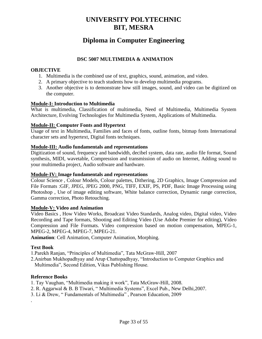# **Diploma in Computer Engineering**

# **DSC 5007 MULTIMEDIA & ANIMATION**

#### **OBJECTIVE**

- 1. Multimedia is the combined use of text, graphics, sound, animation, and video.
- 2. A primary objective to teach students how to develop multimedia programs.
- 3. Another objective is to demonstrate how still images, sound, and video can be digitized on the computer.

#### **Module-I: Introduction to Multimedia**

What is multimedia, Classification of multimedia, Need of Multimedia, Multimedia System Architecture, Evolving Technologies for Multimedia System, Applications of Multimedia.

#### **Module-II: Computer Fonts and Hypertext**

Usage of text in Multimedia, Families and faces of fonts, outline fonts, bitmap fonts International character sets and hypertext, Digital fonts techniques.

#### **Module-III: Audio fundamentals and representations**

Digitization of sound, frequency and bandwidth, decibel system, data rate, audio file format, Sound synthesis, MIDI, wavetable, Compression and transmission of audio on Internet, Adding sound to your multimedia project, Audio software and hardware.

#### **Module-IV: Image fundamentals and representations**

Colour Science , Colour Models, Colour palettes, Dithering, 2D Graphics, Image Compression and File Formats :GIF, JPEG, JPEG 2000, PNG, TIFF, EXIF, PS, PDF, Basic Image Processing using Photoshop , Use of image editing software, White balance correction, Dynamic range correction, Gamma correction, Photo Retouching.

#### **Module-V: Video and Animation**

Video Basics , How Video Works, Broadcast Video Standards, Analog video, Digital video, Video Recording and Tape formats, Shooting and Editing Video (Use Adobe Premier for editing), Video Compression and File Formats. Video compression based on motion compensation, MPEG-1, MPEG-2, MPEG-4, MPEG-7, MPEG-21.

**Animation**: Cell Animation, Computer Animation, Morphing.

# **Text Book**

.

1.Parekh Ranjan, "Principles of Multimedia", Tata McGraw-Hill, 2007

2.Anirban Mukhopadhyay and Arup Chattopadhyay, "Introduction to Computer Graphics and Multimedia", Second Edition, Vikas Publishing House.

#### **Reference Books**

- 1. Tay Vaughan, "Multimedia making it work", Tata McGraw-Hill, 2008.
- 2. R. Aggarwal & B. B Tiwari, " Multimedia Systems", Excel Pub., New Delhi,2007.
- 3. Li & Drew, " Fundamentals of Multimedia" , Pearson Education, 2009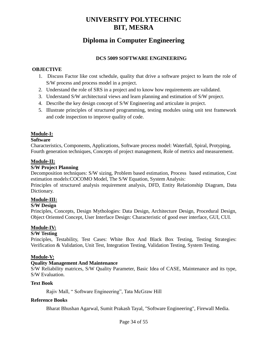# **Diploma in Computer Engineering**

# **DCS 5009 SOFTWARE ENGINEERING**

# **OBJECTIVE**

- 1. Discuss Factor like cost schedule, quality that drive a software project to learn the role of S/W process and process model in a project.
- 2. Understand the role of SRS in a project and to know how requirements are validated.
- 3. Understand S/W architectural views and learn planning and estimation of S/W project.
- 4. Describe the key design concept of S/W Engineering and articulate in project.
- 5. Illustrate principles of structured programming, testing modules using unit test framework and code inspection to improve quality of code.

# **Module-I:**

#### **Software**

Characteristics, Components, Applications, Software process model: Waterfall, Spiral, Protyping, Fourth generation techniques, Concepts of project management, Role of metrics and measurement.

# **Module-II:**

# **S/W Project Planning**

Decomposition techniques: S/W sizing, Problem based estimation, Process based estimation, Cost estimation models:COCOMO Model, The S/W Equation, System Analysis:

Principles of structured analysis requirement analysis, DFD, Entity Relationship Diagram, Data Dictionary.

# **Module-III:**

# **S/W Design**

Principles, Concepts, Design Mythologies: Data Design, Architecture Design, Procedural Design, Object Oriented Concept, User Interface Design: Characteristic of good eser interface, GUI, CUI.

# **Module-IV:**

# **S/W Testing**

Principles, Testability, Test Cases: White Box And Black Box Testing, Testing Strategies: Verification & Validation, Unit Test, Integration Testing, Validation Testing, System Testing.

# **Module-V:**

# **Quality Management And Maintenance**

S/W Reliability matrices, S/W Quality Parameter, Basic Idea of CASE, Maintenance and its type, S/W Evaluation.

# **Text Book**

Rajiv Mall, " Software Engineering", Tata McGraw Hill

# **Reference Books**

Bharat Bhushan Agarwal, Sumit Prakash Tayal, "Software Engineering", Firewall Media.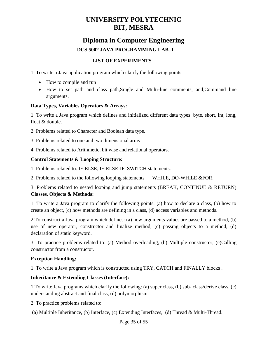# **Diploma in Computer Engineering DCS 5002 JAVA PROGRAMMING LAB.-I**

# **LIST OF EXPERIMENTS**

1. To write a Java application program which clarify the following points:

- How to compile and run
- How to set path and class path,Single and Multi-line comments, and,Command line arguments.

# **Data Types, Variables Operators & Arrays:**

1. To write a Java program which defines and initialized different data types: byte, short, int, long, float & double.

2. Problems related to Character and Boolean data type.

3. Problems related to one and two dimensional array.

4. Problems related to Arithmetic, bit wise and relational operators.

# **Control Statements & Looping Structure:**

1. Problems related to: IF-ELSE, IF-ELSE-IF, SWITCH statements.

2. Problems related to the following looping statements — WHILE, DO-WHILE &FOR.

3. Problems related to nested looping and jump statements (BREAK, CONTINUE & RETURN) **Classes, Objects & Methods:**

1. To write a Java program to clarify the following points: (a) how to declare a class, (b) how to create an object, (c) how methods are defining in a class, (d) access variables and methods.

2.To construct a Java program which defines: (a) how arguments values are passed to a method, (b) use of new operator, constructor and finalize method, (c) passing objects to a method, (d) declaration of static keyword.

3. To practice problems related to: (a) Method overloading, (b) Multiple constructor, (c)Calling constructor from a constructor.

# **Exception Handling:**

1. To write a Java program which is constructed using TRY, CATCH and FINALLY blocks .

# **Inheritance & Extending Classes (Interface):**

1.To write Java programs which clarify the following: (a) super class, (b) sub- class/derive class, (c) understanding abstract and final class, (d) polymorphism.

2. To practice problems related to:

(a) Multiple Inheritance, (b) Interface, (c) Extending Interfaces, (d) Thread & Multi-Thread.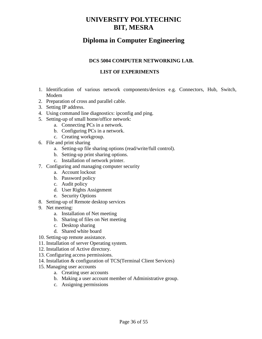# **Diploma in Computer Engineering**

# **DCS 5004 COMPUTER NETWORKING LAB.**

# **LIST OF EXPERIMENTS**

- 1. Identification of various network components/devices e.g. Connectors, Hub, Switch, Modem
- 2. Preparation of cross and parallel cable.
- 3. Setting IP address.
- 4. Using command line diagnostics: ipconfig and ping.
- 5. Setting-up of small home/office network:
	- a. Connecting PCs in a network.
		- b. Configuring PCs in a network.
		- c. Creating workgroup.
- 6. File and print sharing
	- a. Setting-up file sharing options (read/write/full control).
	- b. Setting-up print sharing options.
	- c. Installation of network printer.
- 7. Configuring and managing computer security
	- a. Account lockout
	- b. Password policy
	- c. Audit policy
	- d. User Rights Assignment
	- e. Security Options
- 8. Setting-up of Remote desktop services
- 9. Net meeting:
	- a. Installation of Net meeting
	- b. Sharing of files on Net meeting
	- c. Desktop sharing
	- d. Shared white board
- 10. Setting-up remote assistance.
- 11. Installation of server Operating system.
- 12. Installation of Active directory.
- 13. Configuring access permissions.
- 14. Installation & configuration of TCS(Terminal Client Services)
- 15. Managing user accounts
	- a. Creating user accounts
	- b. Making a user account member of Administrative group.
	- c. Assigning permissions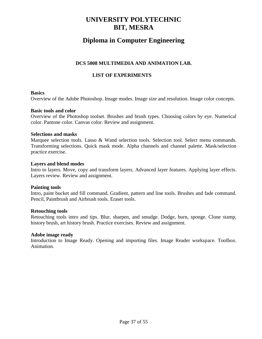# **Diploma in Computer Engineering**

# **DCS 5008 MULTIMEDIA AND ANIMATION LAB.**

# **LIST OF EXPERIMENTS**

#### **Basics**

Overview of the Adobe Photoshop. Image modes. Image size and resolution. Image color concepts.

#### **Basic tools and color**

Overview of the Photoshop toolset. Brushes and brush types. Choosing colors by eye. Numerical color. Pantone color. Canvas color. Review and assignment.

#### **Selections and masks**

Marquee selection tools. Lasso & Wand selection tools. Selection tool. Select menu commands. Transforming selections. Quick mask mode. Alpha channels and channel palette. Mask/selection practice exercise.

#### **Layers and blend modes**

Intro to layers. Move, copy and transform layers. Advanced layer features. Applying layer effects. Layers review. Review and assignment.

#### **Painting tools**

Intro, paint bucket and fill command. Gradient, pattern and line tools. Brushes and fade command. Pencil, Paintbrush and Airbrush tools. Eraser tools.

#### **Retouching tools**

Retouching tools intro and tips. Blur, sharpen, and smudge. Dodge, burn, sponge. Clone stamp, history brush, art history brush. Practice exercises. Review and assignment.

#### **Adobe image ready**

Introduction to Image Ready. Opening and importing files. Image Reader workspace. Toolbox. Animation.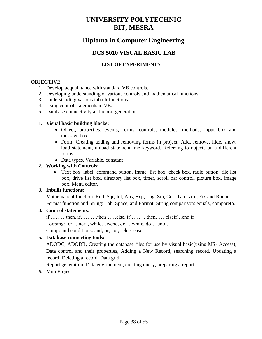# **Diploma in Computer Engineering**

# **DCS 5010 VISUAL BASIC LAB**

# **LIST OF EXPERIMENTS**

#### **OBJECTIVE**

- 1. Develop acquaintance with standard VB controls.
- 2. Developing understanding of various controls and mathematical functions.
- 3. Understanding various inbuilt functions.
- 4. Using control statements in VB.
- 5. Database connectivity and report generation.

# **1. Visual basic building blocks:**

- Object, properties, events, forms, controls, modules, methods, input box and message box.
- Form: Creating adding and removing forms in project: Add, remove, hide, show, load statement, unload statement, me keyword, Referring to objects on a different forms.
- Data types, Variable, constant

# **2. Working with Controls:**

 Text box, label, command button, frame, list box, check box, radio button, file list box, drive list box, directory list box, timer, scroll bar control, picture box, image box, Menu editor.

# **3. Inbuilt functions:**

Mathematical function: Rnd, Sqr, Int, Abs, Exp, Log, Sin, Cos, Tan , Atn, Fix and Round. Format function and String: Tab, Space, and Format, String comparison: equals, compareto.

# **4. Control statements:**

if ………then, if……….then……else, if……….then……elseif…end if Looping: for….next, while…wend, do….while, do….until. Compound conditions: and, or, not; select case

# **5. Database connecting tools:**

ADODC, ADODB, Creating the database files for use by visual basic(using MS- Access), Data control and their properties, Adding a New Record, searching record, Updating a record, Deleting a record, Data grid.

Report generation: Data environment, creating query, preparing a report.

6. Mini Project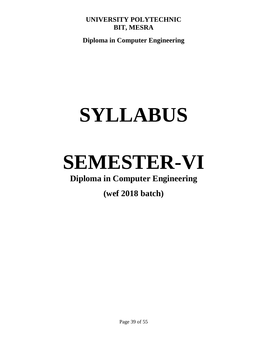**Diploma in Computer Engineering**

# **SYLLABUS**

# **SEMESTER-VI**

# **Diploma in Computer Engineering**

**(wef 2018 batch)**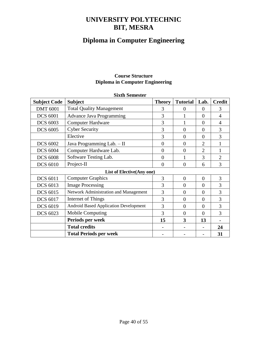# **Diploma in Computer Engineering**

# **Course Structure Diploma in Computer Engineering**

| <b>Subject Code</b>              | <b>Subject</b>                               | <b>Theory</b>  | <b>Tutorial</b>  | Lab.           | <b>Credit</b>  |  |
|----------------------------------|----------------------------------------------|----------------|------------------|----------------|----------------|--|
| <b>DMT 6001</b>                  | <b>Total Quality Management</b>              | 3              | $\Omega$         | $\Omega$       | 3              |  |
| <b>DCS 6001</b>                  | <b>Advance Java Programming</b>              | 3              | 1                | $\overline{0}$ | $\overline{4}$ |  |
| <b>DCS 6003</b>                  | <b>Computer Hardware</b>                     | 3              |                  | $\overline{0}$ | $\overline{4}$ |  |
| <b>DCS 6005</b>                  | <b>Cyber Security</b>                        | 3              | $\overline{0}$   | $\overline{0}$ | 3              |  |
|                                  | Elective                                     | 3              | $\overline{0}$   | $\overline{0}$ | 3              |  |
| <b>DCS 6002</b>                  | Java Programming Lab. - II                   | $\overline{0}$ | $\theta$         | $\overline{2}$ | 1              |  |
| <b>DCS 6004</b>                  | Computer Hardware Lab.                       | $\theta$       | $\theta$         | $\overline{2}$ |                |  |
| <b>DCS 6008</b>                  | Software Testing Lab.                        | $\overline{0}$ | 1                | 3              | $\overline{2}$ |  |
| <b>DCS 6010</b>                  | Project-II                                   | $\theta$       | $\overline{0}$   | 6              | 3              |  |
| <b>List of Elective(Any one)</b> |                                              |                |                  |                |                |  |
| <b>DCS 6011</b>                  | <b>Computer Graphics</b>                     | 3              | $\boldsymbol{0}$ | $\overline{0}$ | 3              |  |
| <b>DCS 6013</b>                  | <b>Image Processing</b>                      | 3              | $\overline{0}$   | $\overline{0}$ | 3              |  |
| <b>DCS 6015</b>                  | Network Administration and Management        | 3              | $\theta$         | $\theta$       | 3              |  |
| <b>DCS 6017</b>                  | Internet of Things                           | 3              | $\theta$         | $\theta$       | 3              |  |
| <b>DCS 6019</b>                  | <b>Android Based Application Development</b> | 3              | $\overline{0}$   | $\theta$       | 3              |  |
| <b>DCS 6023</b>                  | Mobile Computing                             | 3              | $\overline{0}$   | $\theta$       | 3              |  |
|                                  | Periods per week                             | 15             | 3                | 13             |                |  |
|                                  | <b>Total credits</b>                         |                |                  |                | 24             |  |
|                                  | <b>Total Periods per week</b>                |                |                  |                | 31             |  |

# **Sixth Semester**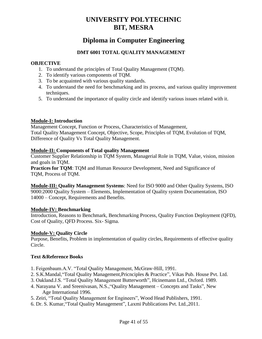# **Diploma in Computer Engineering**

# **DMT 6001 TOTAL QUALITY MANAGEMENT**

# **OBJECTIVE**

- 1. To understand the principles of Total Quality Management (TQM).
- 2. To identify various components of TQM.
- 3. To be acquainted with various quality standards.
- 4. To understand the need for benchmarking and its process, and various quality improvement techniques.
- 5. To understand the importance of quality circle and identify various issues related with it.

# **Module-I: Introduction**

Management Concept, Function or Process, Characteristics of Management, Total Quality Management Concept, Objective, Scope, Principles of TQM, Evolution of TQM, Difference of Quality Vs Total Quality Management.

# **Module-II: Components of Total quality Management**

Customer Supplier Relationship in TQM System, Managerial Role in TQM, Value, vision, mission and goals in TQM.

**Practices for TQM**: TQM and Human Resource Development, Need and Significance of TQM, Process of TQM.

**Module-III: Quality Management Systems**: Need for ISO 9000 and Other Quality Systems, ISO 9000:2000 Quality System – Elements, Implementation of Quality system Documentation, ISO 14000 – Concept, Requirements and Benefits.

# **Module-IV: Benchmarking**

Introduction, Reasons to Benchmark, Benchmarking Process, Quality Function Deployment (QFD), Cost of Quality, QFD Process. Six- Sigma.

# **Module-V: Quality Circle**

Purpose, Benefits, Problem in implementation of quality circles, Requirements of effective quality Circle.

# **Text &Reference Books**

- 1. Feigenbaum.A.V. "Total Quality Management, McGraw-Hill, 1991.
- 2. S.K.Mandal,"Total Quality Management,Pricnciples & Practice", Vikas Pub. House Pvt. Ltd.
- 3. Oakland.J.S. "Total Quality Management Butterworth", Hcinemann Ltd., Oxford. 1989.
- 4. Narayana V. and Sreenivasan, N.S.,"Quality Management Concepts and Tasks", New Age International 1996.
- 5. Zeiri, "Total Quality Management for Engineers", Wood Head Publishers, 1991.
- 6. Dr. S. Kumar,"Total Quality Management", Laxmi Publications Pvt. Ltd.,2011.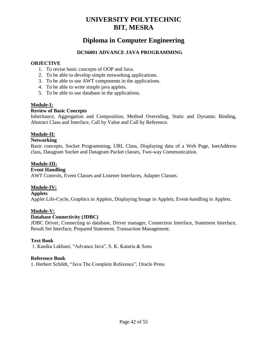# **Diploma in Computer Engineering**

# **DCS6001 ADVANCE JAVA PROGRAMMING**

# **OBJECTIVE**

- 1. To revise basic concepts of OOP and Java.
- 2. To be able to develop simple networking applications.
- 3. To be able to use AWT components in the applications.
- 4. To be able to write simple java applets.
- 5. To be able to use database in the applications.

# **Module-I:**

# **Review of Basic Concepts**

Inheritance, Aggregation and Composition, Method Overriding, Static and Dynamic Binding, Abstract Class and Interface, Call by Value and Call by Reference.

# **Module-II:**

# **Networking**

Basic concepts, Socket Programming, URL Class, Displaying data of a Web Page, InetAddress class, Datagram Socket and Datagram Packet classes, Two-way Communication.

# **Module-III:**

# **Event Handling**

AWT Controls, Event Classes and Listener Interfaces, Adapter Classes.

# **Module-IV:**

**Applets**

Applet Life-Cycle, Graphics in Applets, Displaying Image in Applets, Event-handling in Applets.

# **Module-V:**

# **Database Connectivity (JDBC)**

JDBC Driver, Connecting to database, Driver manager, Connection Interface, Statement Interface, Result Set Interface, Prepared Statement, Transaction Management.

# **Text Book**

1. Kanika Lakhani, "Advance Java", S. K. Kataria & Sons

# **Reference Book**

1. Herbert Schildt, "Java The Complete Reference", Oracle Press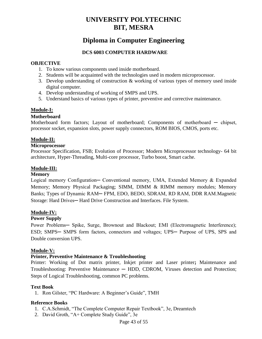# **Diploma in Computer Engineering**

# **DCS 6003 COMPUTER HARDWARE**

### **OBJECTIVE**

- 1. To know various components used inside motherboard.
- 2. Students will be acquainted with the technologies used in modern microprocessor.
- 3. Develop understanding of construction & working of various types of memory used inside digital computer.
- 4. Develop understanding of working of SMPS and UPS.
- 5. Understand basics of various types of printer, preventive and corrective maintenance.

# **Module-I:**

# **Motherboard**

Motherboard form factors; Layout of motherboard; Components of motherboard — chipset, processor socket, expansion slots, power supply connectors, ROM BIOS, CMOS, ports etc.

# **Module-II:**

#### **Microprocessor**

Processor Specification, FSB; Evolution of Processor; Modern Microprocessor technology- 64 bit architecture, Hyper-Threading, Multi-core processor, Turbo boost, Smart cache.

### **Module-III:**

#### **Memory**

Logical memory Configuration— Conventional memory, UMA, Extended Memory & Expanded Memory; Memory Physical Packaging; SIMM, DIMM & RIMM memory modules; Memory Banks; Types of Dynamic RAM─ FPM, EDO, BEDO, SDRAM, RD RAM, DDR RAM.Magnetic Storage: Hard Drives— Hard Drive Construction and Interfaces. File System.

# **Module-IV:**

# **Power Supply**

Power Problems- Spike, Surge, Brownout and Blackout; EMI (Electromagnetic Interference); ESD; SMPS**─** SMPS form factors, connectors and voltages; UPS─ Purpose of UPS, SPS and Double conversion UPS.

#### **Module-V:**

# **Printer, Preventive Maintenance & Troubleshooting**

Printer: Working of Dot matrix printer, Inkjet printer and Laser printer**;** Maintenance and Troubleshooting: Preventive Maintenance **─** HDD, CDROM, Viruses detection and Protection; Steps of Logical Troubleshooting, common PC problems.

# **Text Book**

1. Ron Gilster, "PC Hardware: A Beginner's Guide", TMH

#### **Reference Books**

- 1. C.A.Schmidt, "The Complete Computer Repair Textbook", 3e, Dreamtech
- 2. David Groth, "A+ Complete Study Guide", 3e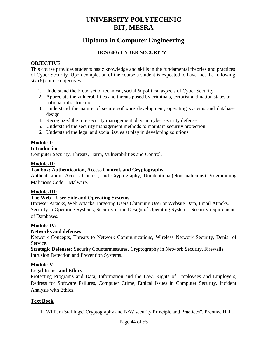# **Diploma in Computer Engineering**

# **DCS 6005 CYBER SECURITY**

# **OBJECTIVE**

This course provides students basic knowledge and skills in the fundamental theories and practices of Cyber Security. Upon completion of the course a student is expected to have met the following six (6) course objectives.

- 1. Understand the broad set of technical, social & political aspects of Cyber Security
- 2. Appreciate the vulnerabilities and threats posed by criminals, terrorist and nation states to national infrastructure
- 3. Understand the nature of secure software development, operating systems and database design
- 4. Recognized the role security management plays in cyber security defense
- 5. Understand the security management methods to maintain security protection
- 6. Understand the legal and social issues at play in developing solutions.

# **Module-I:**

# **Introduction**

Computer Security, Threats, Harm, Vulnerabilities and Control.

# **Module-II:**

# **Toolbox: Authentication, Access Control, and Cryptography**

Authentication, Access Control, and Cryptography, Unintentional(Non-malicious) Programming Malicious Code—Malware.

# **Module-III:**

# **The Web—User Side and Operating Systems**

Browser Attacks, Web Attacks Targeting Users Obtaining User or Website Data, Email Attacks. Security in Operating Systems, Security in the Design of Operating Systems, Security requirements of Databases.

# **Module-IV:**

# **Networks and defenses**

Network Concepts, Threats to Network Communications, Wireless Network Security, Denial of Service.

**Strategic Defenses:** Security Countermeasures, Cryptography in Network Security, Firewalls Intrusion Detection and Prevention Systems.

# **Module-V:**

# **Legal Issues and Ethics**

Protecting Programs and Data, Information and the Law, Rights of Employees and Employers, Redress for Software Failures, Computer Crime, Ethical Issues in Computer Security, Incident Analysis with Ethics.

# **Text Book**

1. William Stallings,"Cryptography and N/W security Principle and Practices", Prentice Hall.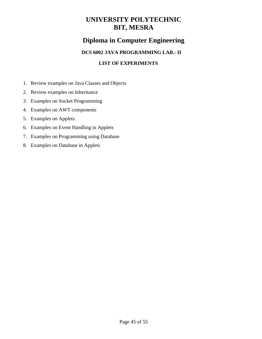# **Diploma in Computer Engineering**

# **DCS 6002 JAVA PROGRAMMING LAB.- II**

# **LIST OF EXPERIMENTS**

- 1. Review examples on Java Classes and Objects
- 2. Review examples on Inheritance
- 3. Examples on Socket Programming
- 4. Examples on AWT components
- 5. Examples on Applets
- 6. Examples on Event Handling in Applets
- 7. Examples on Programming using Database
- 8. Examples on Database in Applets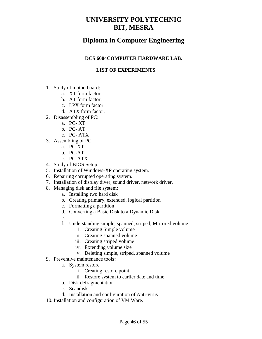# **Diploma in Computer Engineering**

# **DCS 6004COMPUTER HARDWARE LAB.**

# **LIST OF EXPERIMENTS**

- 1. Study of motherboard:
	- a. XT form factor.
	- b. AT form factor.
	- c. LPX form factor.
	- d. ATX form factor.
- 2. Disassembling of PC:
	- a. PC- XT
	- b. PC- AT
	- c. PC- ATX
- 3. Assembling of PC:
	- a. PC-XT
	- b. PC-AT
	- c. PC-ATX
- 4. Study of BIOS Setup.
- 5. Installation of Windows-XP operating system.
- 6. Repairing corrupted operating system.
- 7. Installation of display diver, sound driver, network driver.
- 8. Managing disk and file system:
	- a. Installing two hard disk
	- b. Creating primary, extended, logical partition
	- c. Formatting a partition
	- d. Converting a Basic Disk to a Dynamic Disk
	- e.
	- f. Understanding simple, spanned, striped, Mirrored volume
		- i. Creating Simple volume
		- ii. Creating spanned volume
		- iii. Creating striped volume
		- iv. Extending volume size
		- v. Deleting simple, striped, spanned volume
- 9. Preventive maintenance tools**:**
	- a. System restore
		- i. Creating restore point
		- ii. Restore system to earlier date and time.
	- b. Disk defragmentation
	- c. Scandisk
	- d. Installation and configuration of Anti-virus
- 10. Installation and configuration of VM Ware.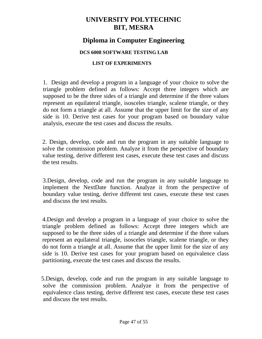# **Diploma in Computer Engineering**

# **DCS 6008 SOFTWARE TESTING LAB**

# **LIST OF EXPERIMENTS**

1. Design and develop a program in a language of your choice to solve the triangle problem defined as follows: Accept three integers which are supposed to be the three sides of a triangle and determine if the three values represent an equilateral triangle, isosceles triangle, scalene triangle, or they do not form a triangle at all. Assume that the upper limit for the size of any side is 10. Derive test cases for your program based on boundary value analysis, execute the test cases and discuss the results.

2. Design, develop, code and run the program in any suitable language to solve the commission problem. Analyze it from the perspective of boundary value testing, derive different test cases, execute these test cases and discuss the test results.

 3.Design, develop, code and run the program in any suitable language to implement the NextDate function. Analyze it from the perspective of boundary value testing, derive different test cases, execute these test cases and discuss the test results.

4.Design and develop a program in a language of your choice to solve the triangle problem defined as follows: Accept three integers which are supposed to be the three sides of a triangle and determine if the three values represent an equilateral triangle, isosceles triangle, scalene triangle, or they do not form a triangle at all. Assume that the upper limit for the size of any side is 10. Derive test cases for your program based on equivalence class partitioning, execute the test cases and discuss the results.

 5.Design, develop, code and run the program in any suitable language to solve the commission problem. Analyze it from the perspective of equivalence class testing, derive different test cases, execute these test cases and discuss the test results.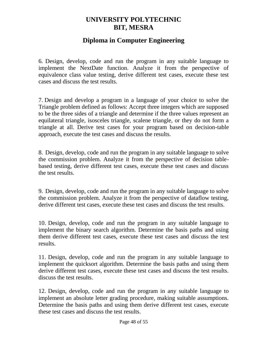# **Diploma in Computer Engineering**

6. Design, develop, code and run the program in any suitable language to implement the NextDate function. Analyze it from the perspective of equivalence class value testing, derive different test cases, execute these test cases and discuss the test results.

7. Design and develop a program in a language of your choice to solve the Triangle problem defined as follows: Accept three integers which are supposed to be the three sides of a triangle and determine if the three values represent an equilateral triangle, isosceles triangle, scalene triangle, or they do not form a triangle at all. Derive test cases for your program based on decision-table approach, execute the test cases and discuss the results.

8. Design, develop, code and run the program in any suitable language to solve the commission problem. Analyze it from the perspective of decision tablebased testing, derive different test cases, execute these test cases and discuss the test results.

9. Design, develop, code and run the program in any suitable language to solve the commission problem. Analyze it from the perspective of dataflow testing, derive different test cases, execute these test cases and discuss the test results.

10. Design, develop, code and run the program in any suitable language to implement the binary search algorithm. Determine the basis paths and using them derive different test cases, execute these test cases and discuss the test results.

11. Design, develop, code and run the program in any suitable language to implement the quicksort algorithm. Determine the basis paths and using them derive different test cases, execute these test cases and discuss the test results. discuss the test results.

12. Design, develop, code and run the program in any suitable language to implement an absolute letter grading procedure, making suitable assumptions. Determine the basis paths and using them derive different test cases, execute these test cases and discuss the test results.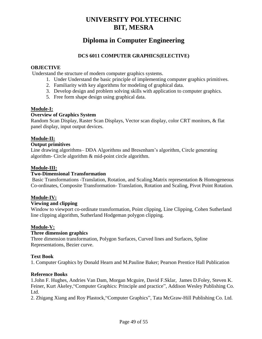# **Diploma in Computer Engineering**

# **DCS 6011 COMPUTER GRAPHICS(ELECTIVE)**

# **OBJECTIVE**

Understand the structure of modern computer graphics systems.

- 1. Under Understand the basic principle of implementing computer graphics primitives.
- 2. Familiarity with key algorithms for modeling of graphical data.
- 3. Develop design and problem solving skills with application to computer graphics.
- 5. Free form shape design using graphical data.

# **Module-I:**

# **Overview of Graphics System**

Random Scan Display, Raster Scan Displays, Vector scan display, color CRT monitors, & flat panel display, input output devices.

# **Module-II:**

#### **Output primitives**

Line drawing algorithms– DDA Algorithms and Bresenham's algorithm, Circle generating algorithm- Circle algorithm & mid-point circle algorithm.

#### **Module-III:**

#### **Two-Dimensional Transformation**

Basic Transformations -Translation, Rotation, and Scaling.Matrix representation & Homogeneous Co-ordinates, Composite Transformation- Translation, Rotation and Scaling, Pivot Point Rotation.

# **Module-IV:**

#### **Viewing and clipping**

Window to viewport co-ordinate transformation, Point clipping, Line Clipping, Cohen Sutherland line clipping algorithm, Sutherland Hodgeman polygon clipping.

# **Module-V:**

# **Three dimension graphics**

Three dimension transformation, Polygon Surfaces, Curved lines and Surfaces, Spline Representations, Bezier curve.

# **Text Book**

1. Computer Graphics by Donald Hearn and M.Pauline Baker; Pearson Prentice Hall Publication

#### **Reference Books**

1.John F. Hughes, Andries Van Dam, Morgan Mcguire, David F.Sklar, James D.Foley, Steven K. Feiner, Kurt Akeley,"Computer Graphics: Principle and practice", Addison Wesley Publishing Co. Ltd.

2. Zhigang Xiang and Roy Plastock,"Computer Graphics", Tata McGraw-Hill Publishing Co. Ltd.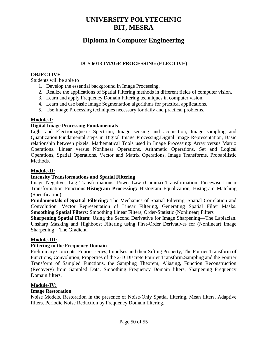# **Diploma in Computer Engineering**

# **DCS 6013 IMAGE PROCESSING (ELECTIVE)**

#### **OBJECTIVE**

Students will be able to

- 1. Develop the essential background in Image Processing.
- 2. Realize the applications of Spatial Filtering methods in different fields of computer vision.
- 3. Learn and apply Frequency Domain Filtering techniques in computer vision.
- 4. Learn and use basic Image Segmentation algorithms for practical applications.
- 5. Use Image Processing techniques necessary for daily and practical problems.

# **Module-I:**

#### **Digital Image Processing Fundamentals**

Light and Electromagnetic Spectrum, Image sensing and acquisition, Image sampling and Quantization.Fundamental steps in Digital Image Processing.Digital Image Representation, Basic relationship between pixels. Mathematical Tools used in Image Processing: Array versus Matrix Operations. Linear versus Nonlinear Operations. Arithmetic Operations. Set and Logical Operations, Spatial Operations, Vector and Matrix Operations, Image Transforms, Probabilistic Methods.

#### **Module-II:**

#### **Intensity Transformations and Spatial Filtering**

Image Negatives Log Transformations, Power-Law (Gamma) Transformation, Piecewise-Linear Transformation Functions.**Histogram Processing:** Histogram Equalization, Histogram Matching (Specification).

**Fundamentals of Spatial Filtering:** The Mechanics of Spatial Filtering, Spatial Correlation and Convolution, Vector Representation of Linear Filtering, Generating Spatial Filter Masks. **Smoothing Spatial Filters:** Smoothing Linear Filters, Order-Statistic (Nonlinear) Filters

**Sharpening Spatial Filters:** Using the Second Derivative for Image Sharpening—The Laplacian. Unsharp Masking and Highboost Filtering using First-Order Derivatives for (Nonlinear) Image Sharpening—The Gradient.

#### **Module-III:**

#### **Filtering in the Frequency Domain**

Preliminary Concepts: Fourier series, Impulses and their Sifting Property, The Fourier Transform of Functions, Convolution, Properties of the 2-D Discrete Fourier Transform.Sampling and the Fourier Transform of Sampled Functions, the Sampling Theorem, Aliasing, Function Reconstruction (Recovery) from Sampled Data. Smoothing Frequency Domain filters, Sharpening Frequency Domain filters.

#### **Module-IV:**

#### **Image Restoration**

Noise Models, Restoration in the presence of Noise-Only Spatial filtering, Mean filters, Adaptive filters. Periodic Noise Reduction by Frequency Domain filtering.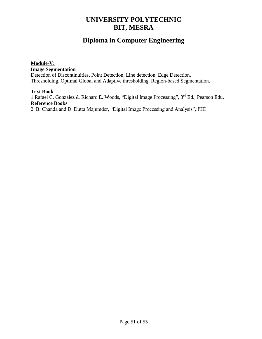# **Diploma in Computer Engineering**

#### **Module-V: Image Segmentation** Detection of Discontinuities, Point Detection, Line detection, Edge Detection. Thresholding, Optimal Global and Adaptive thresholding. Region-based Segmentation.

**Text Book** 1.Rafael C. Gonzalez & Richard E. Woods, "Digital Image Processing", 3rd Ed., Pearson Edu. **Reference Books**

2. B. Chanda and D. Dutta Majumder, "Digital Image Processing and Analysis", PHI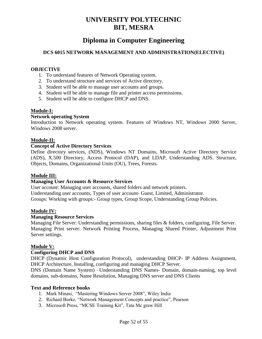# **Diploma in Computer Engineering**

# **DCS 6015 NETWORK MANAGEMENT AND ADMINISTRATION(ELECTIVE)**

### **OBJECTIVE**

- 1. To understand features of Network Operating system.
- 2. To understand structure and services of Active directory.
- 3. Student will be able to manage user accounts and groups.
- 4. Student will be able to manage file and printer access permissions.
- 5. Student will be able to configure DHCP and DNS.

# **Module-I:**

# **Network operating System**

Introduction to Network operating system. Features of Windows NT, Windows 2000 Server, Windows 2008 server.

#### **Module-II:**

#### **Concept of Active Directory Services**

Define directory services, (NDS), Windows NT Domains, Microsoft Active Directory Service (ADS), X.500 Directory, Access Protocol (DAP), and LDAP, Understanding ADS. Structure, Objects, Domains, Organizational Units (OU), Trees, Forests.

#### **Module III:**

#### **Managing User Accounts & Resource Services**

User account: Managing user accounts, shared folders and network printers. Understanding user accounts, Types of user account- Guest, Limited, Administrator. Groups: Working with groups:- Group types, Group Scope, Understanding Group Policies.

#### **Module IV:**

#### **Managing Resource Services**

Managing File Server: Understanding permissions, sharing files & folders, configuring, File Server. Managing Print server: Network Printing Process, Managing Shared Printer, Adjustment Print Server settings.

#### **Module V:**

#### **Configuring DHCP and DNS**

DHCP (Dynamic Host Configuration Protocol), understanding DHCP- IP Address Assignment, DHCP Architecture, Installing, configuring and managing DHCP Server.

DNS (Domain Name System) –Understanding DNS Names- Domain, domain-naming, top level domains, sub-domains, Name Resolution, Managing DNS server and DNS Clients

# **Text and Reference books**

- 1. Mark Minasi, "Mastering Windows Server 2008", Wiley India
- 2. Richard Burke, "Network Management Concepts and practice", Pearson
- 3. Microsoft Press, "MCSE Training Kit", Tata Mc graw Hill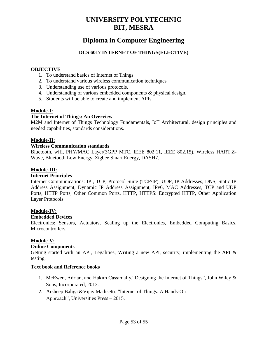# **Diploma in Computer Engineering**

# **DCS 6017 INTERNET OF THINGS(ELECTIVE)**

# **OBJECTIVE**

- 1. To understand basics of Internet of Things.
- 2. To understand various wireless communication techniques
- 3. Understanding use of various protocols.
- 4. Understanding of various embedded components & physical design.
- 5. Students will be able to create and implement APIs.

# **Module-I:**

# **The Internet of Things: An Overview**

M2M and Internet of Things Technology Fundamentals, IoT Architectural, design principles and needed capabilities, standards considerations.

# **Module-II:**

#### **Wireless Communication standards**

Bluetooth, wifi, PHY/MAC Layer(3GPP MTC, IEEE 802.11, IEEE 802.15), Wireless HART,Z-Wave, Bluetooth Low Energy, Zigbee Smart Energy, DASH7.

# **Module-III:**

# **Internet Principles**

Internet Communications: IP , TCP, Protocol Suite (TCP/IP), UDP, IP Addresses, DNS, Static IP Address Assignment, Dynamic IP Address Assignment, IPv6, MAC Addresses, TCP and UDP Ports, HTTP Ports, Other Common Ports, HTTP, HTTPS: Encrypted HTTP, Other Application Layer Protocols.

# **Module-IV:**

# **Embedded Devices**

Electronics: Sensors, Actuators, Scaling up the Electronics, Embedded Computing Basics, Microcontrollers.

# **Module-V:**

# **Online Components**

Getting started with an API, Legalities, Writing a new API, security, implementing the API & testing.

# **Text book and Reference books**

- 1. McEwen, Adrian, and Hakim Cassimally,"Designing the Internet of Things", John Wiley & Sons, Incorporated, 2013.
- 2. [Arsheep](https://www.amazon.in/s/ref=dp_byline_sr_book_1?ie=UTF8&field-author=Arsheep+Bahga&search-alias=stripbooks) Bahga &Vijay Madisetti, "Internet of Things: A Hands-On Approach", Universities Press – 2015.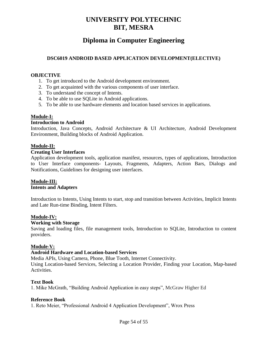# **Diploma in Computer Engineering**

# **DSC6019 ANDROID BASED APPLICATION DEVELOPMENT(ELECTIVE)**

#### **OBJECTIVE**

- 1. To get introduced to the Android development environment.
- 2. To get acquainted with the various components of user interface.
- 3. To understand the concept of Intents.
- 4. To be able to use SQLite in Android applications.
- 5. To be able to use hardware elements and location based services in applications.

#### **Module-I:**

#### **Introduction to Android**

Introduction, Java Concepts, Android Architecture & UI Architecture, Android Development Environment, Building blocks of Android Application.

#### **Module-II:**

#### **Creating User Interfaces**

Application development tools, application manifest, resources, types of applications, Introduction to User Interface components- Layouts, Fragments, Adapters, Action Bars, Dialogs and Notifications, Guidelines for designing user interfaces.

#### **Module-III: Intents and Adapters**

Introduction to Intents, Using Intents to start, stop and transition between Activities, Implicit Intents and Late Run-time Binding, Intent Filters.

# **Module-IV:**

#### **Working with Storage**

Saving and loading files, file management tools, Introduction to SQLite, Introduction to content providers.

#### **Module-V:**

#### **Android Hardware and Location-based Services**

Media APIs, Using Camera, Phone, Blue Tooth, Internet Connectivity. Using Location-based Services, Selecting a Location Provider, Finding your Location, Map-based Activities.

#### **Text Book**

1. Mike McGrath, "Building Android Application in easy steps", McGraw Higher Ed

#### **Reference Book**

1. Reto Meier, "Professional Android 4 Application Development", Wrox Press